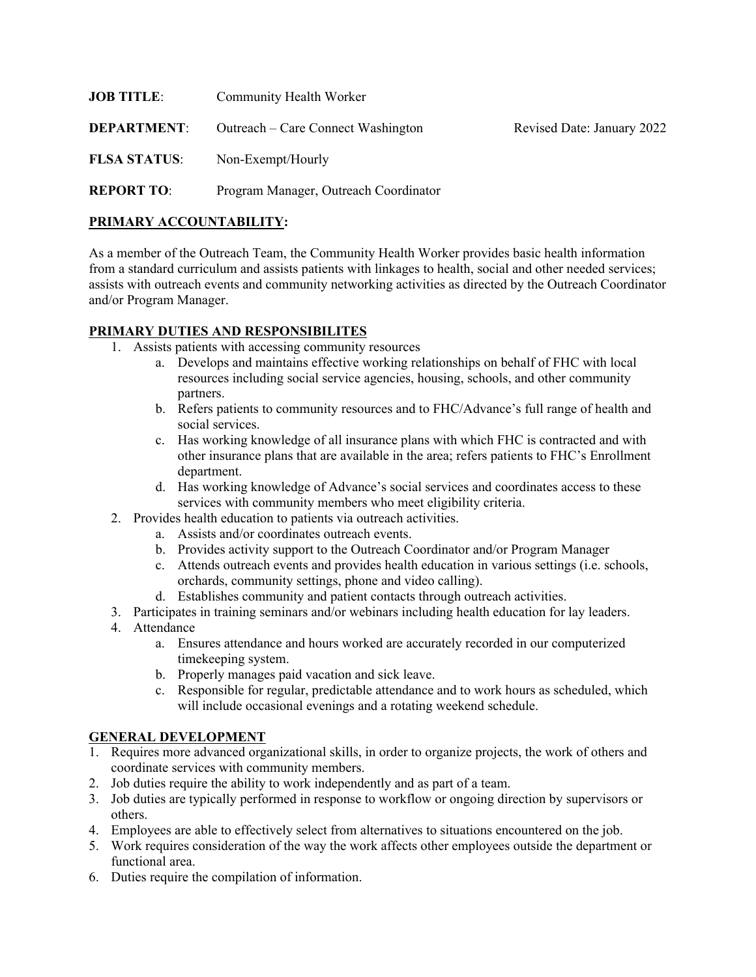| <b>JOB TITLE:</b>   | Community Health Worker               |                            |
|---------------------|---------------------------------------|----------------------------|
| <b>DEPARTMENT:</b>  | Outreach – Care Connect Washington    | Revised Date: January 2022 |
| <b>FLSA STATUS:</b> | Non-Exempt/Hourly                     |                            |
| <b>REPORT TO:</b>   | Program Manager, Outreach Coordinator |                            |

#### **PRIMARY ACCOUNTABILITY:**

As a member of the Outreach Team, the Community Health Worker provides basic health information from a standard curriculum and assists patients with linkages to health, social and other needed services; assists with outreach events and community networking activities as directed by the Outreach Coordinator and/or Program Manager.

### **PRIMARY DUTIES AND RESPONSIBILITES**

- 1. Assists patients with accessing community resources
	- a. Develops and maintains effective working relationships on behalf of FHC with local resources including social service agencies, housing, schools, and other community partners.
	- b. Refers patients to community resources and to FHC/Advance's full range of health and social services.
	- c. Has working knowledge of all insurance plans with which FHC is contracted and with other insurance plans that are available in the area; refers patients to FHC's Enrollment department.
	- d. Has working knowledge of Advance's social services and coordinates access to these services with community members who meet eligibility criteria.
- 2. Provides health education to patients via outreach activities.
	- a. Assists and/or coordinates outreach events.
	- b. Provides activity support to the Outreach Coordinator and/or Program Manager
	- c. Attends outreach events and provides health education in various settings (i.e. schools, orchards, community settings, phone and video calling).
	- d. Establishes community and patient contacts through outreach activities.
- 3. Participates in training seminars and/or webinars including health education for lay leaders.
- 4. Attendance
	- a. Ensures attendance and hours worked are accurately recorded in our computerized timekeeping system.
	- b. Properly manages paid vacation and sick leave.
	- c. Responsible for regular, predictable attendance and to work hours as scheduled, which will include occasional evenings and a rotating weekend schedule.

## **GENERAL DEVELOPMENT**

- 1. Requires more advanced organizational skills, in order to organize projects, the work of others and coordinate services with community members.
- 2. Job duties require the ability to work independently and as part of a team.
- 3. Job duties are typically performed in response to workflow or ongoing direction by supervisors or others.
- 4. Employees are able to effectively select from alternatives to situations encountered on the job.
- 5. Work requires consideration of the way the work affects other employees outside the department or functional area.
- 6. Duties require the compilation of information.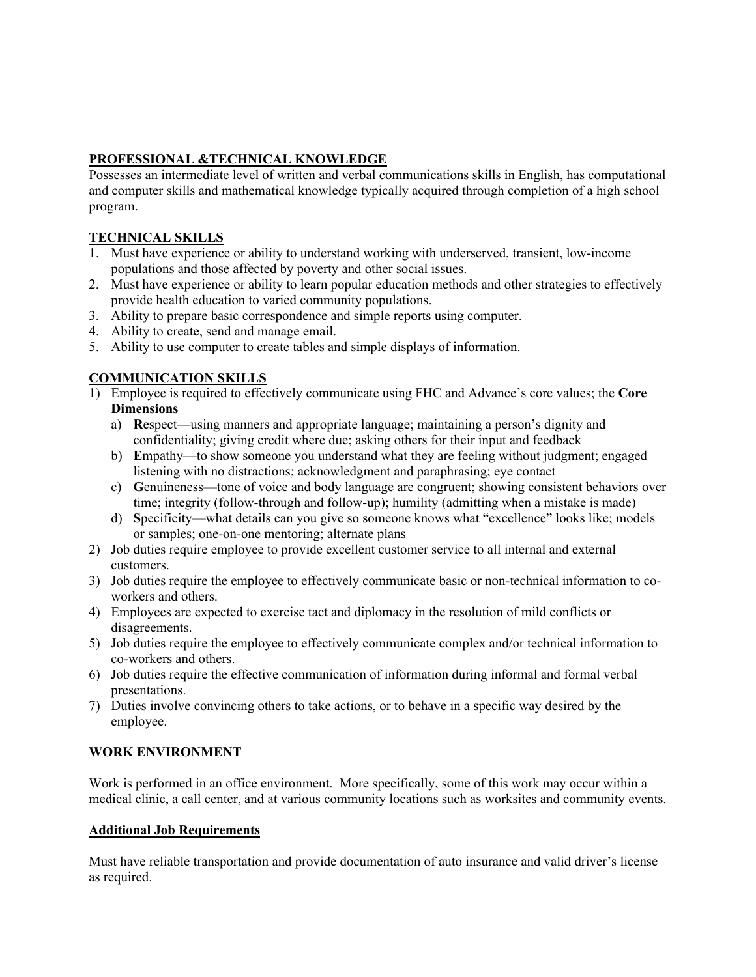# **PROFESSIONAL &TECHNICAL KNOWLEDGE**

Possesses an intermediate level of written and verbal communications skills in English, has computational and computer skills and mathematical knowledge typically acquired through completion of a high school program.

## **TECHNICAL SKILLS**

- 1. Must have experience or ability to understand working with underserved, transient, low-income populations and those affected by poverty and other social issues.
- 2. Must have experience or ability to learn popular education methods and other strategies to effectively provide health education to varied community populations.
- 3. Ability to prepare basic correspondence and simple reports using computer.
- 4. Ability to create, send and manage email.
- 5. Ability to use computer to create tables and simple displays of information.

## **COMMUNICATION SKILLS**

- 1) Employee is required to effectively communicate using FHC and Advance's core values; the **Core Dimensions**
	- a) **R**espect—using manners and appropriate language; maintaining a person's dignity and confidentiality; giving credit where due; asking others for their input and feedback
	- b) **E**mpathy—to show someone you understand what they are feeling without judgment; engaged listening with no distractions; acknowledgment and paraphrasing; eye contact
	- c) **G**enuineness—tone of voice and body language are congruent; showing consistent behaviors over time; integrity (follow-through and follow-up); humility (admitting when a mistake is made)
	- d) **S**pecificity—what details can you give so someone knows what "excellence" looks like; models or samples; one-on-one mentoring; alternate plans
- 2) Job duties require employee to provide excellent customer service to all internal and external customers.
- 3) Job duties require the employee to effectively communicate basic or non-technical information to coworkers and others.
- 4) Employees are expected to exercise tact and diplomacy in the resolution of mild conflicts or disagreements.
- 5) Job duties require the employee to effectively communicate complex and/or technical information to co-workers and others.
- 6) Job duties require the effective communication of information during informal and formal verbal presentations.
- 7) Duties involve convincing others to take actions, or to behave in a specific way desired by the employee.

#### **WORK ENVIRONMENT**

Work is performed in an office environment. More specifically, some of this work may occur within a medical clinic, a call center, and at various community locations such as worksites and community events.

#### **Additional Job Requirements**

Must have reliable transportation and provide documentation of auto insurance and valid driver's license as required.